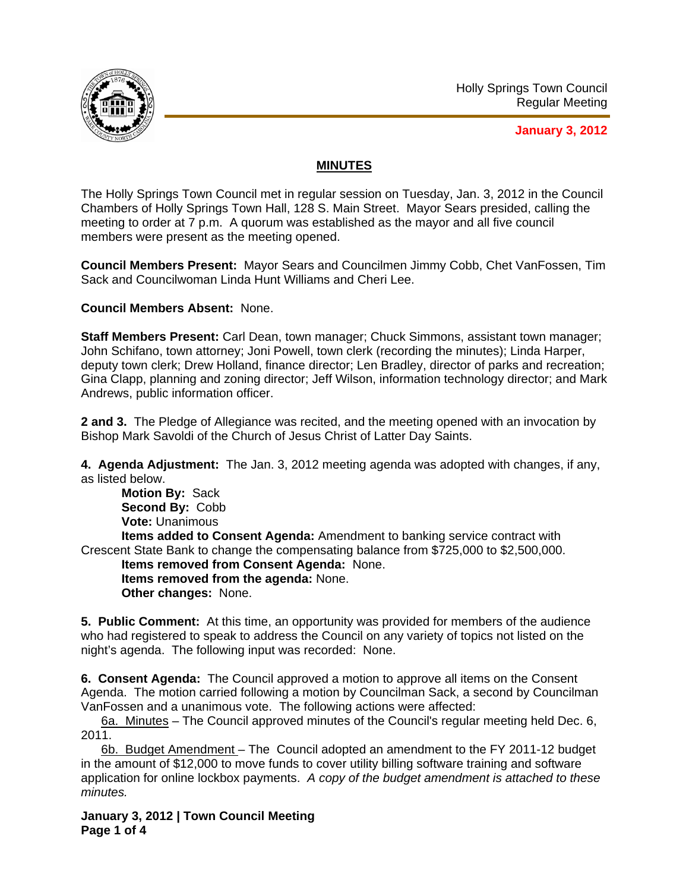

**January 3, 2012**

## **MINUTES**

The Holly Springs Town Council met in regular session on Tuesday, Jan. 3, 2012 in the Council Chambers of Holly Springs Town Hall, 128 S. Main Street. Mayor Sears presided, calling the meeting to order at 7 p.m. A quorum was established as the mayor and all five council members were present as the meeting opened.

**Council Members Present:** Mayor Sears and Councilmen Jimmy Cobb, Chet VanFossen, Tim Sack and Councilwoman Linda Hunt Williams and Cheri Lee.

**Council Members Absent:** None.

**Staff Members Present:** Carl Dean, town manager; Chuck Simmons, assistant town manager; John Schifano, town attorney; Joni Powell, town clerk (recording the minutes); Linda Harper, deputy town clerk; Drew Holland, finance director; Len Bradley, director of parks and recreation; Gina Clapp, planning and zoning director; Jeff Wilson, information technology director; and Mark Andrews, public information officer.

**2 and 3.** The Pledge of Allegiance was recited, and the meeting opened with an invocation by Bishop Mark Savoldi of the Church of Jesus Christ of Latter Day Saints.

**4. Agenda Adjustment:** The Jan. 3, 2012 meeting agenda was adopted with changes, if any, as listed below.

**Motion By:** Sack **Second By:** Cobb **Vote:** Unanimous **Items added to Consent Agenda:** Amendment to banking service contract with Crescent State Bank to change the compensating balance from \$725,000 to \$2,500,000. **Items removed from Consent Agenda:** None. **Items removed from the agenda:** None. **Other changes:** None.

**5. Public Comment:** At this time, an opportunity was provided for members of the audience who had registered to speak to address the Council on any variety of topics not listed on the night's agenda. The following input was recorded: None.

**6. Consent Agenda:** The Council approved a motion to approve all items on the Consent Agenda. The motion carried following a motion by Councilman Sack, a second by Councilman VanFossen and a unanimous vote. The following actions were affected:

6a. Minutes – The Council approved minutes of the Council's regular meeting held Dec. 6, 2011.

6b. Budget Amendment – The Council adopted an amendment to the FY 2011-12 budget in the amount of \$12,000 to move funds to cover utility billing software training and software application for online lockbox payments. *A copy of the budget amendment is attached to these minutes.*

**January 3, 2012 | Town Council Meeting Page 1 of 4**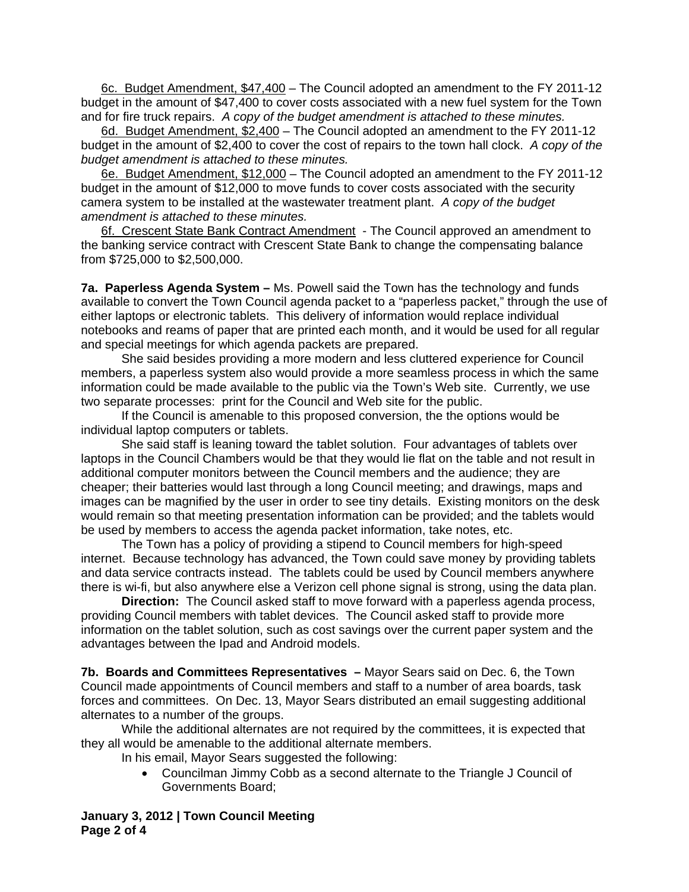6c. Budget Amendment, \$47,400 – The Council adopted an amendment to the FY 2011-12 budget in the amount of \$47,400 to cover costs associated with a new fuel system for the Town and for fire truck repairs. *A copy of the budget amendment is attached to these minutes.* 

6d. Budget Amendment, \$2,400 – The Council adopted an amendment to the FY 2011-12 budget in the amount of \$2,400 to cover the cost of repairs to the town hall clock. *A copy of the budget amendment is attached to these minutes.*

6e. Budget Amendment, \$12,000 – The Council adopted an amendment to the FY 2011-12 budget in the amount of \$12,000 to move funds to cover costs associated with the security camera system to be installed at the wastewater treatment plant. *A copy of the budget amendment is attached to these minutes.*

6f. Crescent State Bank Contract Amendment - The Council approved an amendment to the banking service contract with Crescent State Bank to change the compensating balance from \$725,000 to \$2,500,000.

**7a. Paperless Agenda System –** Ms. Powell said the Town has the technology and funds available to convert the Town Council agenda packet to a "paperless packet," through the use of either laptops or electronic tablets. This delivery of information would replace individual notebooks and reams of paper that are printed each month, and it would be used for all regular and special meetings for which agenda packets are prepared.

She said besides providing a more modern and less cluttered experience for Council members, a paperless system also would provide a more seamless process in which the same information could be made available to the public via the Town's Web site. Currently, we use two separate processes: print for the Council and Web site for the public.

If the Council is amenable to this proposed conversion, the the options would be individual laptop computers or tablets.

She said staff is leaning toward the tablet solution. Four advantages of tablets over laptops in the Council Chambers would be that they would lie flat on the table and not result in additional computer monitors between the Council members and the audience; they are cheaper; their batteries would last through a long Council meeting; and drawings, maps and images can be magnified by the user in order to see tiny details. Existing monitors on the desk would remain so that meeting presentation information can be provided; and the tablets would be used by members to access the agenda packet information, take notes, etc.

The Town has a policy of providing a stipend to Council members for high-speed internet. Because technology has advanced, the Town could save money by providing tablets and data service contracts instead. The tablets could be used by Council members anywhere there is wi-fi, but also anywhere else a Verizon cell phone signal is strong, using the data plan.

**Direction:** The Council asked staff to move forward with a paperless agenda process, providing Council members with tablet devices. The Council asked staff to provide more information on the tablet solution, such as cost savings over the current paper system and the advantages between the Ipad and Android models.

**7b. Boards and Committees Representatives –** Mayor Sears said on Dec. 6, the Town Council made appointments of Council members and staff to a number of area boards, task forces and committees. On Dec. 13, Mayor Sears distributed an email suggesting additional alternates to a number of the groups.

While the additional alternates are not required by the committees, it is expected that they all would be amenable to the additional alternate members.

- In his email, Mayor Sears suggested the following:
	- Councilman Jimmy Cobb as a second alternate to the Triangle J Council of Governments Board;

**January 3, 2012 | Town Council Meeting Page 2 of 4**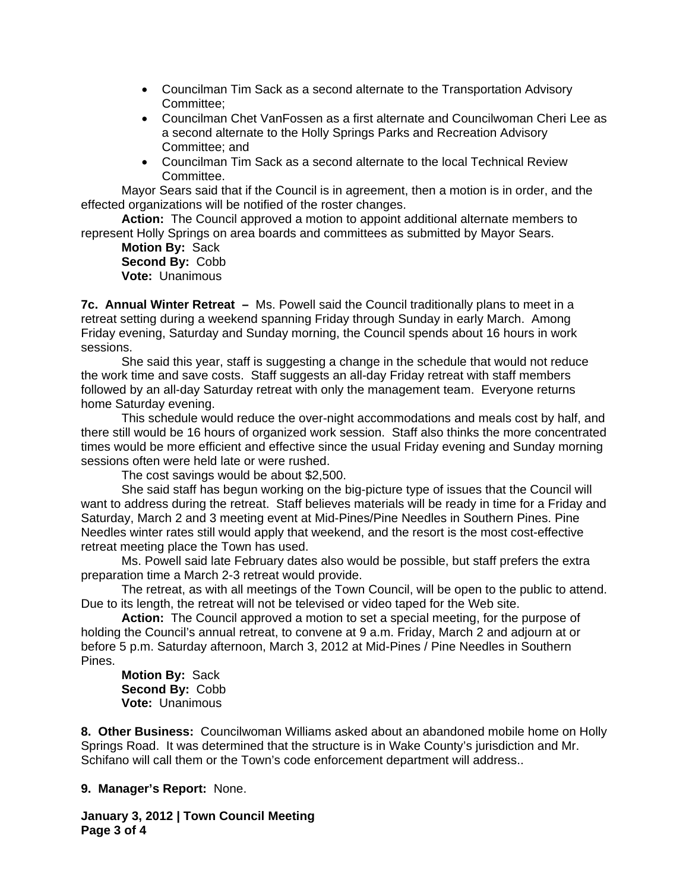- Councilman Tim Sack as a second alternate to the Transportation Advisory Committee;
- Councilman Chet VanFossen as a first alternate and Councilwoman Cheri Lee as a second alternate to the Holly Springs Parks and Recreation Advisory Committee; and
- Councilman Tim Sack as a second alternate to the local Technical Review Committee.

Mayor Sears said that if the Council is in agreement, then a motion is in order, and the effected organizations will be notified of the roster changes.

**Action:** The Council approved a motion to appoint additional alternate members to represent Holly Springs on area boards and committees as submitted by Mayor Sears.

**Motion By:** Sack  **Second By:** Cobb  **Vote:** Unanimous

**7c. Annual Winter Retreat –** Ms. Powell said the Council traditionally plans to meet in a retreat setting during a weekend spanning Friday through Sunday in early March. Among Friday evening, Saturday and Sunday morning, the Council spends about 16 hours in work sessions.

She said this year, staff is suggesting a change in the schedule that would not reduce the work time and save costs. Staff suggests an all-day Friday retreat with staff members followed by an all-day Saturday retreat with only the management team. Everyone returns home Saturday evening.

This schedule would reduce the over-night accommodations and meals cost by half, and there still would be 16 hours of organized work session. Staff also thinks the more concentrated times would be more efficient and effective since the usual Friday evening and Sunday morning sessions often were held late or were rushed.

The cost savings would be about \$2,500.

She said staff has begun working on the big-picture type of issues that the Council will want to address during the retreat. Staff believes materials will be ready in time for a Friday and Saturday, March 2 and 3 meeting event at Mid-Pines/Pine Needles in Southern Pines. Pine Needles winter rates still would apply that weekend, and the resort is the most cost-effective retreat meeting place the Town has used.

Ms. Powell said late February dates also would be possible, but staff prefers the extra preparation time a March 2-3 retreat would provide.

The retreat, as with all meetings of the Town Council, will be open to the public to attend. Due to its length, the retreat will not be televised or video taped for the Web site.

**Action:** The Council approved a motion to set a special meeting, for the purpose of holding the Council's annual retreat, to convene at 9 a.m. Friday, March 2 and adjourn at or before 5 p.m. Saturday afternoon, March 3, 2012 at Mid-Pines / Pine Needles in Southern Pines.

**Motion By:** Sack  **Second By:** Cobb  **Vote:** Unanimous

**8. Other Business:** Councilwoman Williams asked about an abandoned mobile home on Holly Springs Road. It was determined that the structure is in Wake County's jurisdiction and Mr. Schifano will call them or the Town's code enforcement department will address..

## **9. Manager's Report:** None.

**January 3, 2012 | Town Council Meeting Page 3 of 4**